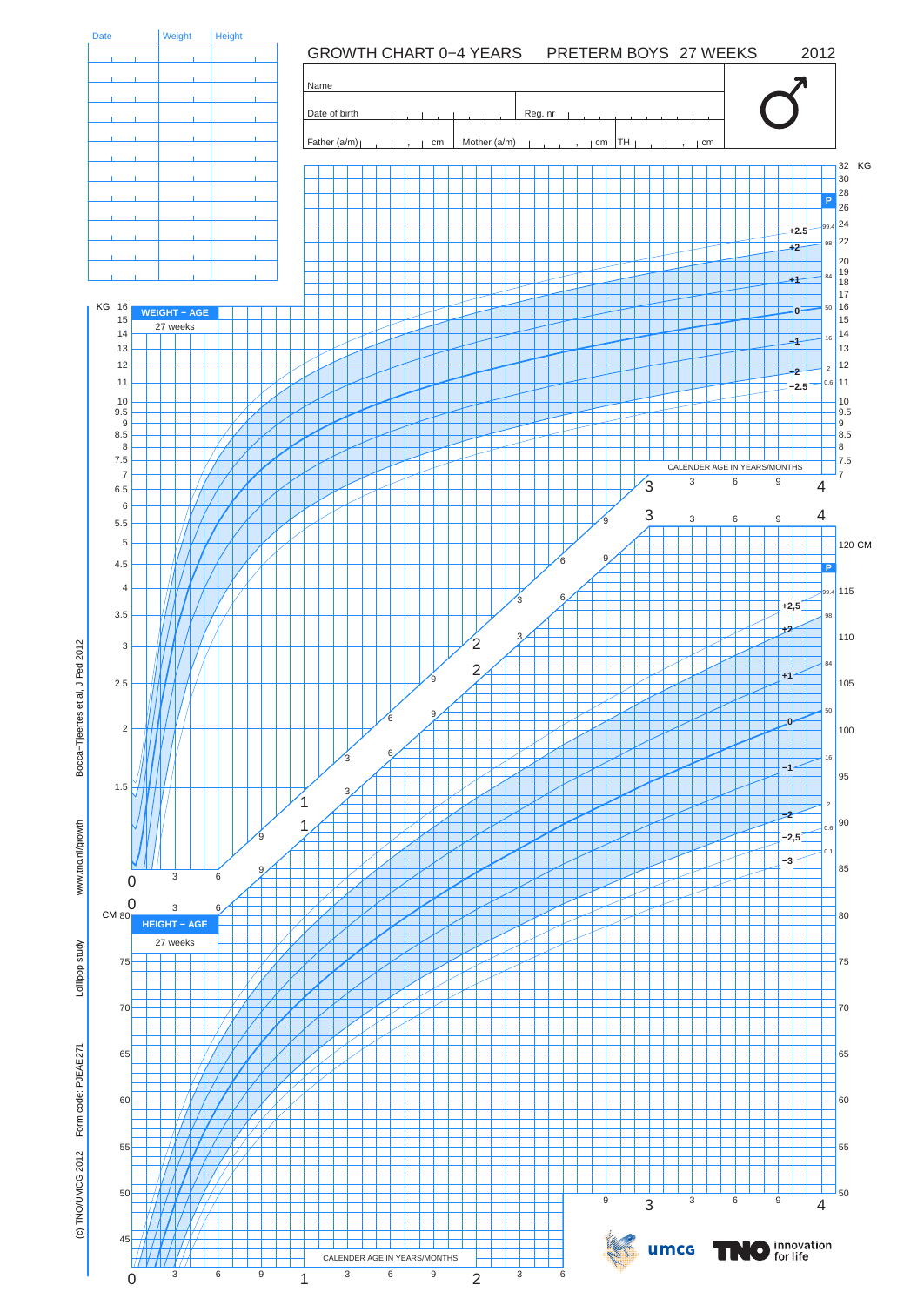